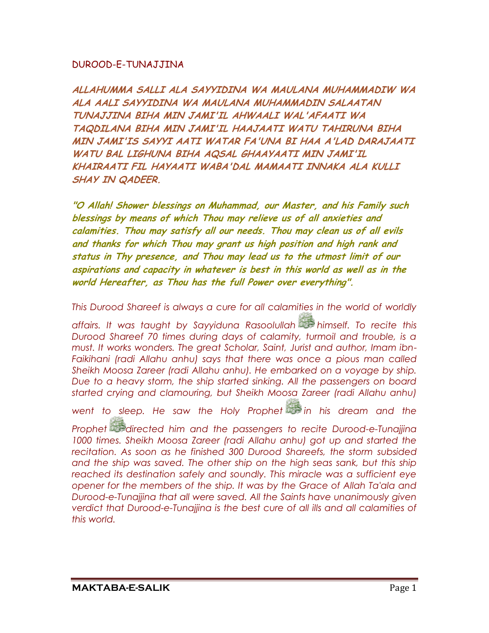## DUROOD-E-TUNAJJINA

**ALLAHUMMA SALLI ALA SAYYIDINA WA MAULANA MUHAMMADIW WA ALA AALI SAYYIDINA WA MAULANA MUHAMMADIN SALAATAN TUNAJJINA BIHA MIN JAMI'IL AHWAALI WAL'AFAATI WA TAQDILANA BIHA MIN JAMI'IL HAAJAATI WATU TAHIRUNA BIHA MIN JAMI'IS SAYYI AATI WATAR FA'UNA BI HAA A'LAD DARAJAATI WATU BAL LIGHUNA BIHA AQSAL GHAAYAATI MIN JAMI'IL KHAIRAATI FIL HAYAATI WABA'DAL MAMAATI INNAKA ALA KULLI SHAY IN QADEER.**

**"O Allah! Shower blessings on Muhammad, our Master, and his Family such blessings by means of which Thou may relieve us of all anxieties and calamities. Thou may satisfy all our needs. Thou may clean us of all evils and thanks for which Thou may grant us high position and high rank and status in Thy presence, and Thou may lead us to the utmost limit of our aspirations and capacity in whatever is best in this world as well as in the world Hereafter, as Thou has the full Power over everything".**

*This Durood Shareef is always a cure for all calamities in the world of worldly* 

*affairs. It was taught by Sayyiduna Rasoolullah himself. To recite this Durood Shareef 70 times during days of calamity, turmoil and trouble, is a must. It works wonders. The great Scholar, Saint, Jurist and author, Imam ibn-Faikihani (radi Allahu anhu) says that there was once a pious man called Sheikh Moosa Zareer (radi Allahu anhu). He embarked on a voyage by ship. Due to a heavy storm, the ship started sinking. All the passengers on board started crying and clamouring, but Sheikh Moosa Zareer (radi Allahu anhu)* 

*went to sleep. He saw the Holy Prophet in his dream and the* 

*Prophet directed him and the passengers to recite Durood-e-Tunajjina*  1000 times. Sheikh Moosa Zareer (radi Allahu anhu) got up and started the *recitation. As soon as he finished 300 Durood Shareefs, the storm subsided*  and the ship was saved. The other ship on the high seas sank, but this ship *reached its destination safely and soundly. This miracle was a sufficient eye opener for the members of the ship. It was by the Grace of Allah Ta'ala and Durood-e-Tunajjina that all were saved. All the Saints have unanimously given verdict that Durood-e-Tunajjina is the best cure of all ills and all calamities of this world.*